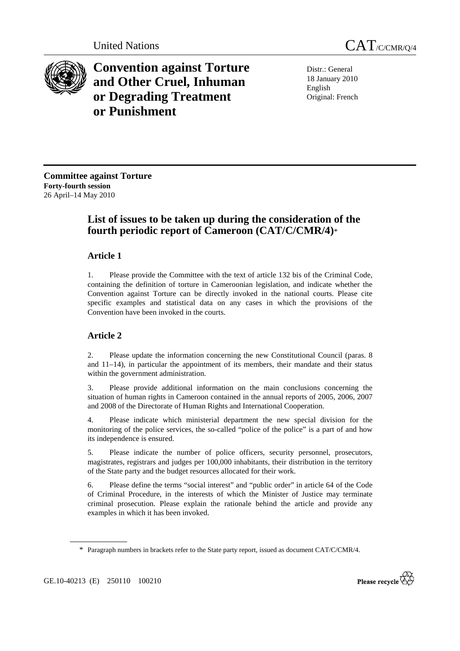

**Convention against Torture and Other Cruel, Inhuman or Degrading Treatment or Punishment**

Distr.: General 18 January 2010 English Original: French

**Committee against Torture Forty-fourth session**  26 April–14 May 2010

# **List of issues to be taken up during the consideration of the fourth periodic report of Cameroon (CAT/C/CMR/4)**\*

# **Article 1**

1. Please provide the Committee with the text of article 132 bis of the Criminal Code, containing the definition of torture in Cameroonian legislation, and indicate whether the Convention against Torture can be directly invoked in the national courts. Please cite specific examples and statistical data on any cases in which the provisions of the Convention have been invoked in the courts.

# **Article 2**

2. Please update the information concerning the new Constitutional Council (paras. 8 and 11–14), in particular the appointment of its members, their mandate and their status within the government administration.

3. Please provide additional information on the main conclusions concerning the situation of human rights in Cameroon contained in the annual reports of 2005, 2006, 2007 and 2008 of the Directorate of Human Rights and International Cooperation.

4. Please indicate which ministerial department the new special division for the monitoring of the police services, the so-called "police of the police" is a part of and how its independence is ensured.

5. Please indicate the number of police officers, security personnel, prosecutors, magistrates, registrars and judges per 100,000 inhabitants, their distribution in the territory of the State party and the budget resources allocated for their work.

6. Please define the terms "social interest" and "public order" in article 64 of the Code of Criminal Procedure, in the interests of which the Minister of Justice may terminate criminal prosecution. Please explain the rationale behind the article and provide any examples in which it has been invoked.



<sup>\*</sup> Paragraph numbers in brackets refer to the State party report, issued as document CAT/C/CMR/4.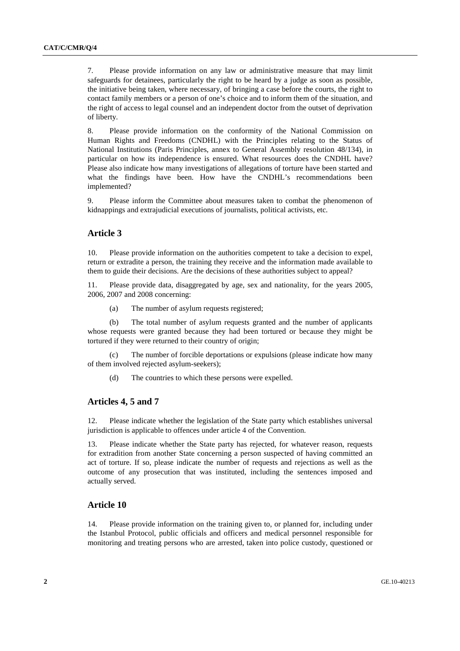7. Please provide information on any law or administrative measure that may limit safeguards for detainees, particularly the right to be heard by a judge as soon as possible, the initiative being taken, where necessary, of bringing a case before the courts, the right to contact family members or a person of one's choice and to inform them of the situation, and the right of access to legal counsel and an independent doctor from the outset of deprivation of liberty.

8. Please provide information on the conformity of the National Commission on Human Rights and Freedoms (CNDHL) with the Principles relating to the Status of National Institutions (Paris Principles, annex to General Assembly resolution 48/134), in particular on how its independence is ensured. What resources does the CNDHL have? Please also indicate how many investigations of allegations of torture have been started and what the findings have been. How have the CNDHL's recommendations been implemented?

9. Please inform the Committee about measures taken to combat the phenomenon of kidnappings and extrajudicial executions of journalists, political activists, etc.

#### **Article 3**

10. Please provide information on the authorities competent to take a decision to expel, return or extradite a person, the training they receive and the information made available to them to guide their decisions. Are the decisions of these authorities subject to appeal?

11. Please provide data, disaggregated by age, sex and nationality, for the years 2005, 2006, 2007 and 2008 concerning:

(a) The number of asylum requests registered;

 (b) The total number of asylum requests granted and the number of applicants whose requests were granted because they had been tortured or because they might be tortured if they were returned to their country of origin;

 (c) The number of forcible deportations or expulsions (please indicate how many of them involved rejected asylum-seekers);

(d) The countries to which these persons were expelled.

#### **Articles 4, 5 and 7**

12. Please indicate whether the legislation of the State party which establishes universal jurisdiction is applicable to offences under article 4 of the Convention.

13. Please indicate whether the State party has rejected, for whatever reason, requests for extradition from another State concerning a person suspected of having committed an act of torture. If so, please indicate the number of requests and rejections as well as the outcome of any prosecution that was instituted, including the sentences imposed and actually served.

# **Article 10**

14. Please provide information on the training given to, or planned for, including under the Istanbul Protocol, public officials and officers and medical personnel responsible for monitoring and treating persons who are arrested, taken into police custody, questioned or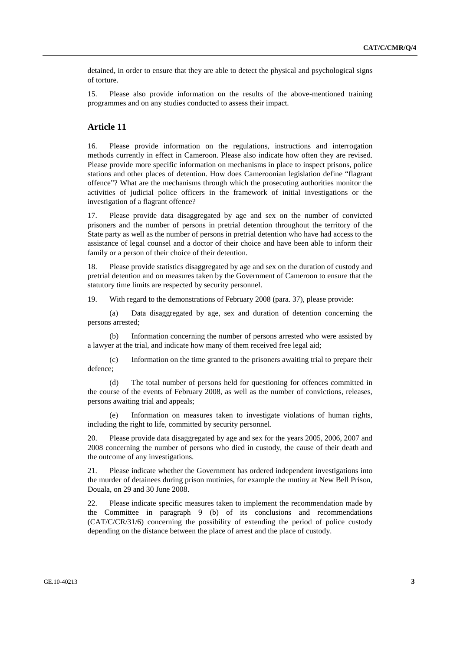detained, in order to ensure that they are able to detect the physical and psychological signs of torture.

15. Please also provide information on the results of the above-mentioned training programmes and on any studies conducted to assess their impact.

#### **Article 11**

16. Please provide information on the regulations, instructions and interrogation methods currently in effect in Cameroon. Please also indicate how often they are revised. Please provide more specific information on mechanisms in place to inspect prisons, police stations and other places of detention. How does Cameroonian legislation define "flagrant offence"? What are the mechanisms through which the prosecuting authorities monitor the activities of judicial police officers in the framework of initial investigations or the investigation of a flagrant offence?

17. Please provide data disaggregated by age and sex on the number of convicted prisoners and the number of persons in pretrial detention throughout the territory of the State party as well as the number of persons in pretrial detention who have had access to the assistance of legal counsel and a doctor of their choice and have been able to inform their family or a person of their choice of their detention.

18. Please provide statistics disaggregated by age and sex on the duration of custody and pretrial detention and on measures taken by the Government of Cameroon to ensure that the statutory time limits are respected by security personnel.

19. With regard to the demonstrations of February 2008 (para. 37), please provide:

 (a) Data disaggregated by age, sex and duration of detention concerning the persons arrested;

 (b) Information concerning the number of persons arrested who were assisted by a lawyer at the trial, and indicate how many of them received free legal aid;

 (c) Information on the time granted to the prisoners awaiting trial to prepare their defence;

 (d) The total number of persons held for questioning for offences committed in the course of the events of February 2008, as well as the number of convictions, releases, persons awaiting trial and appeals;

Information on measures taken to investigate violations of human rights, including the right to life, committed by security personnel.

20. Please provide data disaggregated by age and sex for the years 2005, 2006, 2007 and 2008 concerning the number of persons who died in custody, the cause of their death and the outcome of any investigations.

21. Please indicate whether the Government has ordered independent investigations into the murder of detainees during prison mutinies, for example the mutiny at New Bell Prison, Douala, on 29 and 30 June 2008.

22. Please indicate specific measures taken to implement the recommendation made by the Committee in paragraph 9 (b) of its conclusions and recommendations (CAT/C/CR/31/6) concerning the possibility of extending the period of police custody depending on the distance between the place of arrest and the place of custody.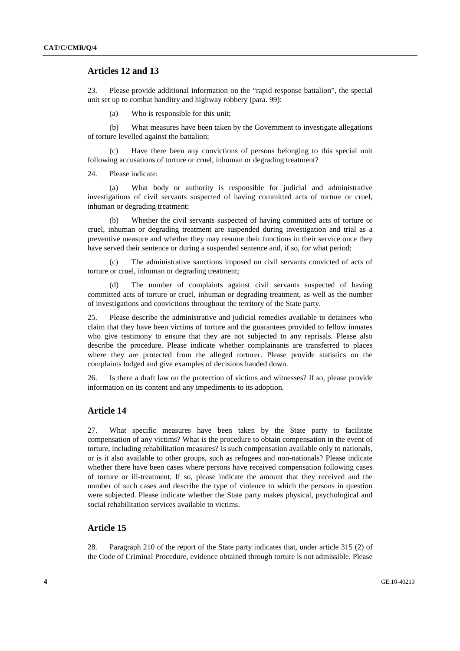# **Articles 12 and 13**

23. Please provide additional information on the "rapid response battalion", the special unit set up to combat banditry and highway robbery (para. 99):

(a) Who is responsible for this unit;

 (b) What measures have been taken by the Government to investigate allegations of torture levelled against the battalion;

Have there been any convictions of persons belonging to this special unit following accusations of torture or cruel, inhuman or degrading treatment?

24. Please indicate:

 (a) What body or authority is responsible for judicial and administrative investigations of civil servants suspected of having committed acts of torture or cruel, inhuman or degrading treatment;

 (b) Whether the civil servants suspected of having committed acts of torture or cruel, inhuman or degrading treatment are suspended during investigation and trial as a preventive measure and whether they may resume their functions in their service once they have served their sentence or during a suspended sentence and, if so, for what period;

 (c) The administrative sanctions imposed on civil servants convicted of acts of torture or cruel, inhuman or degrading treatment;

 (d) The number of complaints against civil servants suspected of having committed acts of torture or cruel, inhuman or degrading treatment, as well as the number of investigations and convictions throughout the territory of the State party.

25. Please describe the administrative and judicial remedies available to detainees who claim that they have been victims of torture and the guarantees provided to fellow inmates who give testimony to ensure that they are not subjected to any reprisals. Please also describe the procedure. Please indicate whether complainants are transferred to places where they are protected from the alleged torturer. Please provide statistics on the complaints lodged and give examples of decisions handed down.

26. Is there a draft law on the protection of victims and witnesses? If so, please provide information on its content and any impediments to its adoption.

# **Article 14**

27. What specific measures have been taken by the State party to facilitate compensation of any victims? What is the procedure to obtain compensation in the event of torture, including rehabilitation measures? Is such compensation available only to nationals, or is it also available to other groups, such as refugees and non-nationals? Please indicate whether there have been cases where persons have received compensation following cases of torture or ill-treatment. If so, please indicate the amount that they received and the number of such cases and describe the type of violence to which the persons in question were subjected. Please indicate whether the State party makes physical, psychological and social rehabilitation services available to victims.

### **Article 15**

28. Paragraph 210 of the report of the State party indicates that, under article 315 (2) of the Code of Criminal Procedure, evidence obtained through torture is not admissible. Please